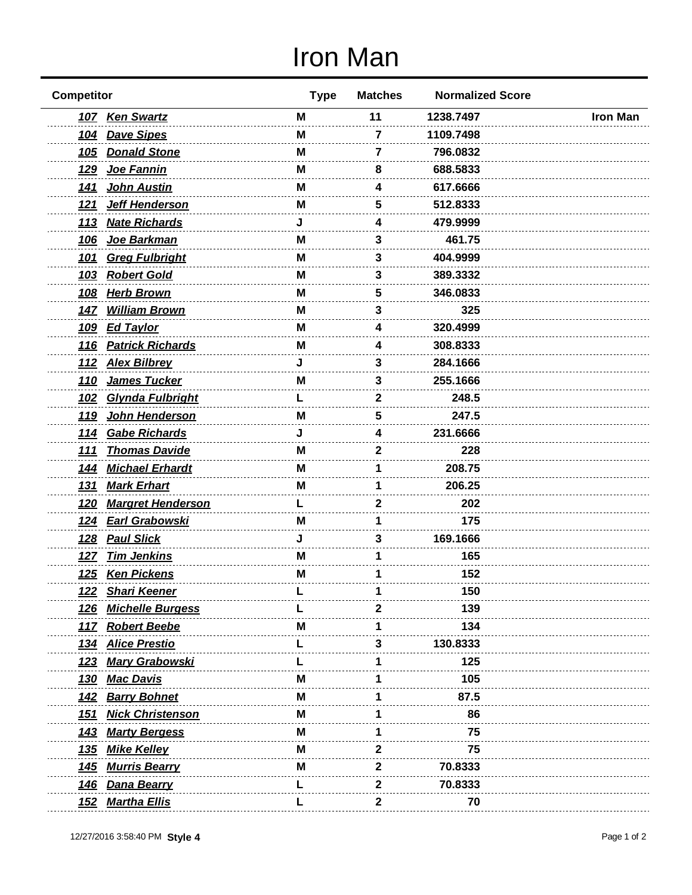## Iron Man

| <b>Competitor</b>                      | <b>Type</b> | <b>Matches</b> | <b>Normalized Score</b> |                 |
|----------------------------------------|-------------|----------------|-------------------------|-----------------|
| 107 Ken Swartz                         | M           | 11             | 1238.7497               | <b>Iron Man</b> |
| 104 Dave Sipes                         | M           | 7              | 1109.7498               |                 |
| <b>Donald Stone</b><br><u>105</u>      | м           | 7              | 796.0832                |                 |
| Joe Fannin<br><u>129</u>               | M           | 8              | 688.5833                |                 |
| 141 John Austin                        | M           | 4              | 617.6666                |                 |
| Jeff Henderson<br><u>121</u>           | м           | 5              | 512.8333                |                 |
| <b>Nate Richards</b><br><u>113</u>     | J.          | 4              | 479.9999                |                 |
| Joe Barkman<br><u>106</u>              | M           | 3              | 461.75                  |                 |
| <b>Greg Fulbright</b><br><u>101</u>    | м           | 3              | 404.9999                |                 |
| <b>Robert Gold</b><br><u>103</u>       | м           | 3              | 389.3332                |                 |
| <b>Herb Brown</b><br><u>108</u>        | м           | 5              | 346.0833                |                 |
| 147 William Brown                      | M           | 3              | 325                     |                 |
| <b>Ed Taylor</b><br><u>109</u>         | M           | 4              | 320.4999                |                 |
| 116 Patrick Richards                   | м           | Δ              | 308.8333                |                 |
| 112 Alex Bilbrey                       | J           | 3              | 284.1666                |                 |
| James Tucker<br><u>110</u>             | м           | 3              | 255.1666                |                 |
| Glynda Fulbright<br><u>102</u>         |             | 2              | 248.5                   |                 |
| John Henderson<br><u>119</u>           | М           | 5              | 247.5                   |                 |
| 114 Gabe Richards                      |             | Δ              | 231.6666                |                 |
| <b>Thomas Davide</b><br><u>111</u>     | м           | 2              | 228                     |                 |
| <b>Michael Erhardt</b><br><u> 144</u>  | м           |                | 208.75                  |                 |
| <u>Mark Erhart</u><br><u>131</u>       | M           |                | 206.25                  |                 |
| <u>120</u><br><b>Margret Henderson</b> |             | 2              | 202                     |                 |
| 124 Earl Grabowski                     | М           |                | 175                     |                 |
| <b>Paul Slick</b><br><u>128</u>        |             | 3              | 169.1666                |                 |
| <u>Tim Jenkins</u><br><u>127</u>       | м           |                | 165                     |                 |
| 125 Ken Pickens                        | M           |                | 152                     |                 |
| <u>122</u><br><u>Shari Keener</u>      |             |                | 150                     |                 |
| <b>Michelle Burgess</b><br><u> 126</u> |             | 2              | 139                     |                 |
| 117 Robert Beebe                       | м           |                | 134                     |                 |
| 134 Alice Prestio                      |             |                | 130.8333                |                 |
| <b>Mary Grabowski</b><br><u>123</u>    |             |                | 125                     |                 |
| <b>Mac Davis</b><br><u>130</u>         | М           |                | 105                     |                 |
| 142 Barry Bohnet                       | M           |                | 87.5                    |                 |
| <b>Nick Christenson</b><br><u>151</u>  | м           |                | 86                      |                 |
| <b>Marty Bergess</b><br><u>143</u>     | м           |                | 75                      |                 |
| <b>Mike Kelley</b><br><u>135</u>       | м           | 2              | 75                      |                 |
| <b>Murris Bearry</b><br><u> 145</u>    | M           | 2              | 70.8333                 |                 |
| <b>Dana Bearry</b><br><u>146</u>       |             | 2              | 70.8333                 |                 |
| <b>Martha Ellis</b><br><u> 152</u>     |             | 2              | 70                      |                 |